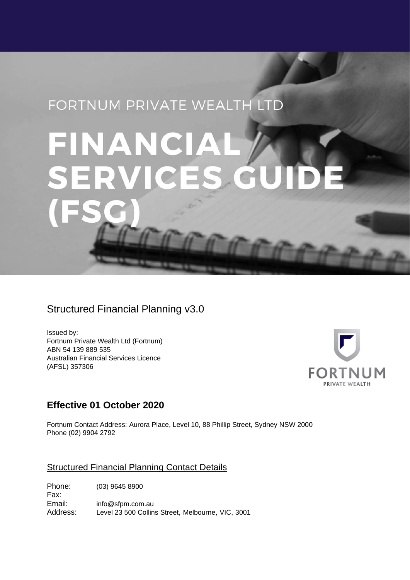## FORTNUM PRIVATE WEALTH LTD

# FINANCIAI **SERV** DE  $\sqrt{2}$

## Structured Financial Planning v3.0

Issued by: Fortnum Private Wealth Ltd (Fortnum) ABN 54 139 889 535 Australian Financial Services Licence (AFSL) 357306



## **Effective 01 October 2020**

Fortnum Contact Address: Aurora Place, Level 10, 88 Phillip Street, Sydney NSW 2000 Phone (02) 9904 2792

#### Structured Financial Planning Contact Details

Phone: (03) 9645 8900 Fax:<br>Email: info@sfpm.com.au Address: Level 23 500 Collins Street, Melbourne, VIC, 3001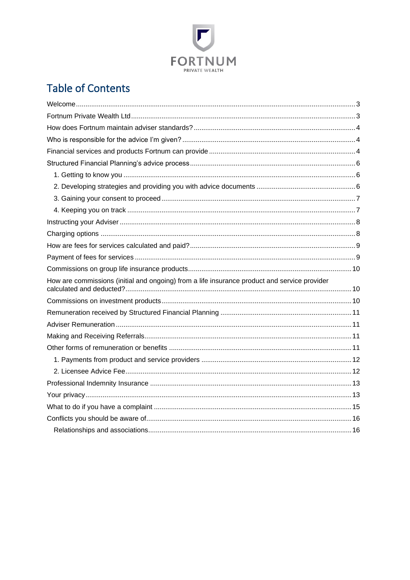

## **Table of Contents**

| How are commissions (initial and ongoing) from a life insurance product and service provider |
|----------------------------------------------------------------------------------------------|
|                                                                                              |
|                                                                                              |
|                                                                                              |
|                                                                                              |
|                                                                                              |
|                                                                                              |
|                                                                                              |
|                                                                                              |
|                                                                                              |
|                                                                                              |
|                                                                                              |
|                                                                                              |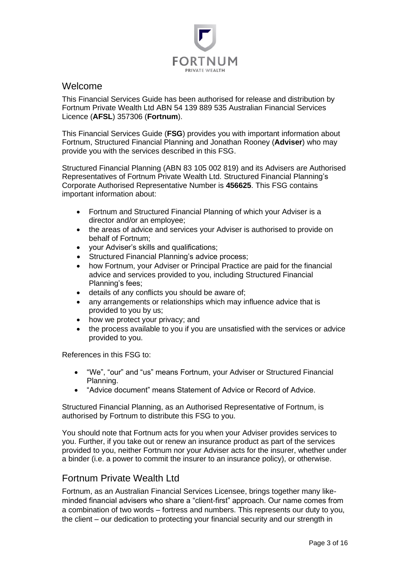

#### <span id="page-2-0"></span>Welcome

This Financial Services Guide has been authorised for release and distribution by Fortnum Private Wealth Ltd ABN 54 139 889 535 Australian Financial Services Licence (**AFSL**) 357306 (**Fortnum**).

This Financial Services Guide (**FSG**) provides you with important information about Fortnum, Structured Financial Planning and Jonathan Rooney (**Adviser**) who may provide you with the services described in this FSG.

Structured Financial Planning (ABN 83 105 002 819) and its Advisers are Authorised Representatives of Fortnum Private Wealth Ltd. Structured Financial Planning's Corporate Authorised Representative Number is **456625**. This FSG contains important information about:

- Fortnum and Structured Financial Planning of which your Adviser is a director and/or an employee;
- the areas of advice and services your Adviser is authorised to provide on behalf of Fortnum;
- your Adviser's skills and qualifications;
- Structured Financial Planning's advice process;
- how Fortnum, your Adviser or Principal Practice are paid for the financial advice and services provided to you, including Structured Financial Planning's fees;
- details of any conflicts you should be aware of;
- any arrangements or relationships which may influence advice that is provided to you by us;
- how we protect your privacy; and
- the process available to you if you are unsatisfied with the services or advice provided to you.

References in this FSG to:

- "We", "our" and "us" means Fortnum, your Adviser or Structured Financial Planning.
- "Advice document" means Statement of Advice or Record of Advice.

Structured Financial Planning, as an Authorised Representative of Fortnum, is authorised by Fortnum to distribute this FSG to you.

You should note that Fortnum acts for you when your Adviser provides services to you. Further, if you take out or renew an insurance product as part of the services provided to you, neither Fortnum nor your Adviser acts for the insurer, whether under a binder (i.e. a power to commit the insurer to an insurance policy), or otherwise.

## <span id="page-2-1"></span>Fortnum Private Wealth Ltd

Fortnum, as an Australian Financial Services Licensee, brings together many likeminded financial advisers who share a "client-first" approach. Our name comes from a combination of two words – fortress and numbers. This represents our duty to you, the client – our dedication to protecting your financial security and our strength in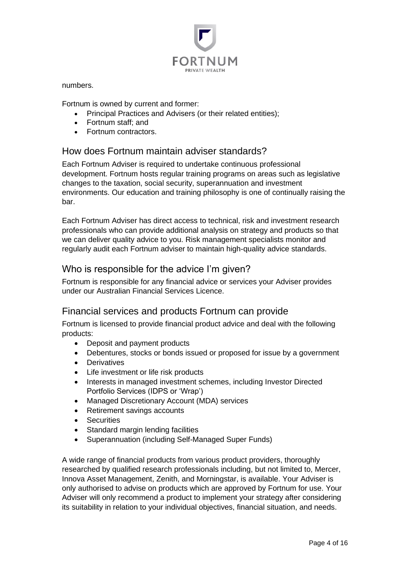

numbers.

Fortnum is owned by current and former:

- Principal Practices and Advisers (or their related entities);
- Fortnum staff; and
- Fortnum contractors.

## <span id="page-3-0"></span>How does Fortnum maintain adviser standards?

Each Fortnum Adviser is required to undertake continuous professional development. Fortnum hosts regular training programs on areas such as legislative changes to the taxation, social security, superannuation and investment environments. Our education and training philosophy is one of continually raising the bar.

Each Fortnum Adviser has direct access to technical, risk and investment research professionals who can provide additional analysis on strategy and products so that we can deliver quality advice to you. Risk management specialists monitor and regularly audit each Fortnum adviser to maintain high-quality advice standards.

## <span id="page-3-1"></span>Who is responsible for the advice I'm given?

Fortnum is responsible for any financial advice or services your Adviser provides under our Australian Financial Services Licence.

## <span id="page-3-2"></span>Financial services and products Fortnum can provide

Fortnum is licensed to provide financial product advice and deal with the following products:

- Deposit and payment products
- Debentures, stocks or bonds issued or proposed for issue by a government
- Derivatives
- Life investment or life risk products
- Interests in managed investment schemes, including Investor Directed Portfolio Services (IDPS or 'Wrap')
- Managed Discretionary Account (MDA) services
- Retirement savings accounts
- Securities
- Standard margin lending facilities
- Superannuation (including Self-Managed Super Funds)

A wide range of financial products from various product providers, thoroughly researched by qualified research professionals including, but not limited to, Mercer, Innova Asset Management, Zenith, and Morningstar, is available. Your Adviser is only authorised to advise on products which are approved by Fortnum for use. Your Adviser will only recommend a product to implement your strategy after considering its suitability in relation to your individual objectives, financial situation, and needs.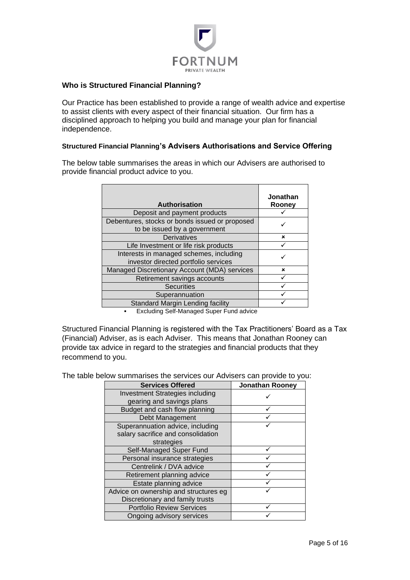

#### **Who is Structured Financial Planning?**

Our Practice has been established to provide a range of wealth advice and expertise to assist clients with every aspect of their financial situation. Our firm has a disciplined approach to helping you build and manage your plan for financial independence.

#### **Structured Financial Planning's Advisers Authorisations and Service Offering**

The below table summarises the areas in which our Advisers are authorised to provide financial product advice to you.

| <b>Authorisation</b>                                                            | Jonathan<br>Rooney        |
|---------------------------------------------------------------------------------|---------------------------|
| Deposit and payment products                                                    |                           |
| Debentures, stocks or bonds issued or proposed<br>to be issued by a government  |                           |
| <b>Derivatives</b>                                                              | ×                         |
| Life Investment or life risk products                                           |                           |
| Interests in managed schemes, including<br>investor directed portfolio services |                           |
| Managed Discretionary Account (MDA) services                                    | $\boldsymbol{\mathsf{x}}$ |
| Retirement savings accounts                                                     |                           |
| <b>Securities</b>                                                               |                           |
| Superannuation                                                                  |                           |
| Standard Margin Lending facility                                                |                           |
|                                                                                 |                           |

▪ Excluding Self-Managed Super Fund advice

Structured Financial Planning is registered with the Tax Practitioners' Board as a Tax (Financial) Adviser, as is each Adviser. This means that Jonathan Rooney can provide tax advice in regard to the strategies and financial products that they recommend to you.

The table below summarises the services our Advisers can provide to you:

| <b>Services Offered</b>               | <b>Jonathan Rooney</b> |
|---------------------------------------|------------------------|
| Investment Strategies including       |                        |
| gearing and savings plans             |                        |
| Budget and cash flow planning         |                        |
| Debt Management                       |                        |
| Superannuation advice, including      |                        |
| salary sacrifice and consolidation    |                        |
| strategies                            |                        |
| Self-Managed Super Fund               |                        |
| Personal insurance strategies         |                        |
| Centrelink / DVA advice               |                        |
| Retirement planning advice            |                        |
| Estate planning advice                |                        |
| Advice on ownership and structures eg |                        |
| Discretionary and family trusts       |                        |
| <b>Portfolio Review Services</b>      |                        |
| Ongoing advisory services             |                        |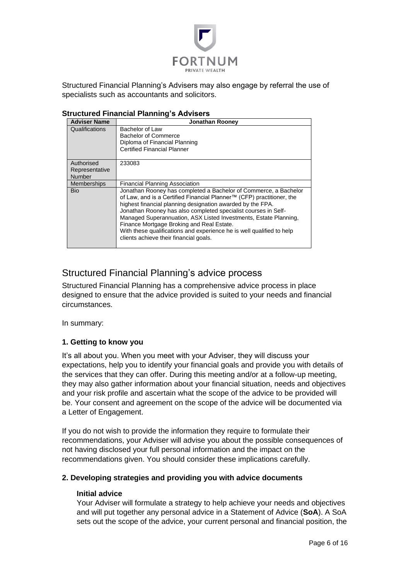

Structured Financial Planning's Advisers may also engage by referral the use of specialists such as accountants and solicitors.

| <b>Adviser Name</b>                           | <b>Jonathan Rooney</b>                                                                                                                                                                                                                                                                                                                                                                                                                                                                                        |
|-----------------------------------------------|---------------------------------------------------------------------------------------------------------------------------------------------------------------------------------------------------------------------------------------------------------------------------------------------------------------------------------------------------------------------------------------------------------------------------------------------------------------------------------------------------------------|
| Qualifications                                | Bachelor of Law<br>Bachelor of Commerce<br>Diploma of Financial Planning<br><b>Certified Financial Planner</b>                                                                                                                                                                                                                                                                                                                                                                                                |
| Authorised<br>Representative<br><b>Number</b> | 233083                                                                                                                                                                                                                                                                                                                                                                                                                                                                                                        |
| <b>Memberships</b>                            | <b>Financial Planning Association</b>                                                                                                                                                                                                                                                                                                                                                                                                                                                                         |
| <b>Bio</b>                                    | Jonathan Rooney has completed a Bachelor of Commerce, a Bachelor<br>of Law, and is a Certified Financial Planner™ (CFP) practitioner, the<br>highest financial planning designation awarded by the FPA.<br>Jonathan Rooney has also completed specialist courses in Self-<br>Managed Superannuation, ASX Listed Investments, Estate Planning,<br>Finance Mortgage Broking and Real Estate.<br>With these qualifications and experience he is well qualified to help<br>clients achieve their financial goals. |

#### **Structured Financial Planning's Advisers**

## <span id="page-5-0"></span>Structured Financial Planning's advice process

Structured Financial Planning has a comprehensive advice process in place designed to ensure that the advice provided is suited to your needs and financial circumstances.

In summary:

#### <span id="page-5-1"></span>**1. Getting to know you**

It's all about you. When you meet with your Adviser, they will discuss your expectations, help you to identify your financial goals and provide you with details of the services that they can offer. During this meeting and/or at a follow-up meeting, they may also gather information about your financial situation, needs and objectives and your risk profile and ascertain what the scope of the advice to be provided will be. Your consent and agreement on the scope of the advice will be documented via a Letter of Engagement.

If you do not wish to provide the information they require to formulate their recommendations, your Adviser will advise you about the possible consequences of not having disclosed your full personal information and the impact on the recommendations given. You should consider these implications carefully.

#### <span id="page-5-2"></span>**2. Developing strategies and providing you with advice documents**

#### **Initial advice**

Your Adviser will formulate a strategy to help achieve your needs and objectives and will put together any personal advice in a Statement of Advice (**SoA**). A SoA sets out the scope of the advice, your current personal and financial position, the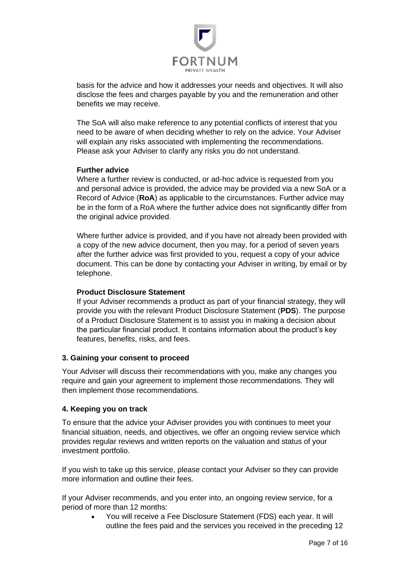

basis for the advice and how it addresses your needs and objectives. It will also disclose the fees and charges payable by you and the remuneration and other benefits we may receive.

The SoA will also make reference to any potential conflicts of interest that you need to be aware of when deciding whether to rely on the advice. Your Adviser will explain any risks associated with implementing the recommendations. Please ask your Adviser to clarify any risks you do not understand.

#### **Further advice**

Where a further review is conducted, or ad-hoc advice is requested from you and personal advice is provided, the advice may be provided via a new SoA or a Record of Advice (**RoA**) as applicable to the circumstances. Further advice may be in the form of a RoA where the further advice does not significantly differ from the original advice provided.

Where further advice is provided, and if you have not already been provided with a copy of the new advice document, then you may, for a period of seven years after the further advice was first provided to you, request a copy of your advice document. This can be done by contacting your Adviser in writing, by email or by telephone.

#### **Product Disclosure Statement**

If your Adviser recommends a product as part of your financial strategy, they will provide you with the relevant Product Disclosure Statement (**PDS**). The purpose of a Product Disclosure Statement is to assist you in making a decision about the particular financial product. It contains information about the product's key features, benefits, risks, and fees.

#### <span id="page-6-0"></span>**3. Gaining your consent to proceed**

Your Adviser will discuss their recommendations with you, make any changes you require and gain your agreement to implement those recommendations. They will then implement those recommendations.

#### <span id="page-6-1"></span>**4. Keeping you on track**

To ensure that the advice your Adviser provides you with continues to meet your financial situation, needs, and objectives, we offer an ongoing review service which provides regular reviews and written reports on the valuation and status of your investment portfolio.

If you wish to take up this service, please contact your Adviser so they can provide more information and outline their fees.

If your Adviser recommends, and you enter into, an ongoing review service, for a period of more than 12 months:

> • You will receive a Fee Disclosure Statement (FDS) each year. It will outline the fees paid and the services you received in the preceding 12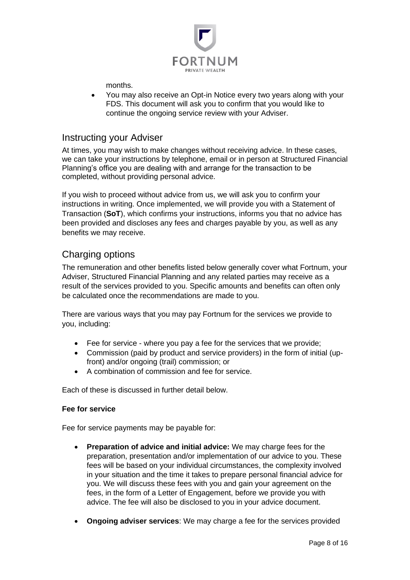

months.

• You may also receive an Opt-in Notice every two years along with your FDS. This document will ask you to confirm that you would like to continue the ongoing service review with your Adviser.

#### <span id="page-7-0"></span>Instructing your Adviser

At times, you may wish to make changes without receiving advice. In these cases, we can take your instructions by telephone, email or in person at Structured Financial Planning's office you are dealing with and arrange for the transaction to be completed, without providing personal advice.

If you wish to proceed without advice from us, we will ask you to confirm your instructions in writing. Once implemented, we will provide you with a Statement of Transaction (**SoT**), which confirms your instructions, informs you that no advice has been provided and discloses any fees and charges payable by you, as well as any benefits we may receive.

## <span id="page-7-1"></span>Charging options

The remuneration and other benefits listed below generally cover what Fortnum, your Adviser, Structured Financial Planning and any related parties may receive as a result of the services provided to you. Specific amounts and benefits can often only be calculated once the recommendations are made to you.

There are various ways that you may pay Fortnum for the services we provide to you, including:

- Fee for service where you pay a fee for the services that we provide;
- Commission (paid by product and service providers) in the form of initial (upfront) and/or ongoing (trail) commission; or
- A combination of commission and fee for service.

Each of these is discussed in further detail below.

#### **Fee for service**

Fee for service payments may be payable for:

- **Preparation of advice and initial advice:** We may charge fees for the preparation, presentation and/or implementation of our advice to you. These fees will be based on your individual circumstances, the complexity involved in your situation and the time it takes to prepare personal financial advice for you. We will discuss these fees with you and gain your agreement on the fees, in the form of a Letter of Engagement, before we provide you with advice. The fee will also be disclosed to you in your advice document.
- **Ongoing adviser services**: We may charge a fee for the services provided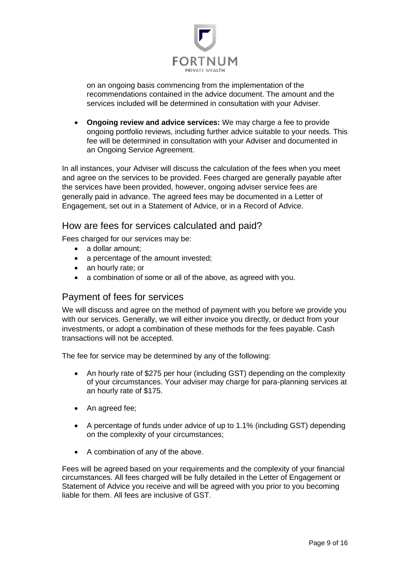

on an ongoing basis commencing from the implementation of the recommendations contained in the advice document. The amount and the services included will be determined in consultation with your Adviser.

• **Ongoing review and advice services:** We may charge a fee to provide ongoing portfolio reviews, including further advice suitable to your needs. This fee will be determined in consultation with your Adviser and documented in an Ongoing Service Agreement.

In all instances, your Adviser will discuss the calculation of the fees when you meet and agree on the services to be provided. Fees charged are generally payable after the services have been provided, however, ongoing adviser service fees are generally paid in advance. The agreed fees may be documented in a Letter of Engagement, set out in a Statement of Advice, or in a Record of Advice.

#### <span id="page-8-0"></span>How are fees for services calculated and paid?

Fees charged for our services may be:

- a dollar amount;
- a percentage of the amount invested;
- an hourly rate; or
- a combination of some or all of the above, as agreed with you.

#### <span id="page-8-1"></span>Payment of fees for services

We will discuss and agree on the method of payment with you before we provide you with our services. Generally, we will either invoice you directly, or deduct from your investments, or adopt a combination of these methods for the fees payable. Cash transactions will not be accepted.

The fee for service may be determined by any of the following:

- An hourly rate of \$275 per hour (including GST) depending on the complexity of your circumstances. Your adviser may charge for para-planning services at an hourly rate of \$175.
- An agreed fee;
- A percentage of funds under advice of up to 1.1% (including GST) depending on the complexity of your circumstances;
- A combination of any of the above.

Fees will be agreed based on your requirements and the complexity of your financial circumstances. All fees charged will be fully detailed in the Letter of Engagement or Statement of Advice you receive and will be agreed with you prior to you becoming liable for them. All fees are inclusive of GST.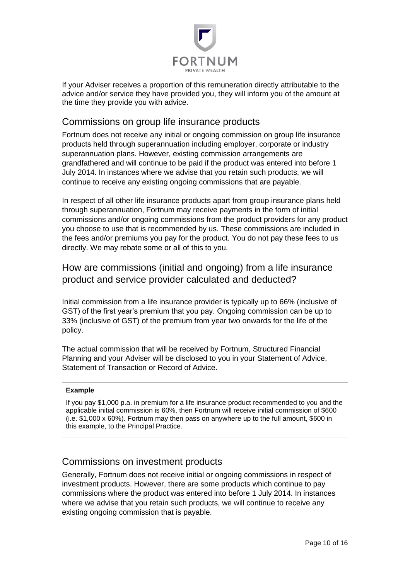

If your Adviser receives a proportion of this remuneration directly attributable to the advice and/or service they have provided you, they will inform you of the amount at the time they provide you with advice.

## <span id="page-9-0"></span>Commissions on group life insurance products

Fortnum does not receive any initial or ongoing commission on group life insurance products held through superannuation including employer, corporate or industry superannuation plans. However, existing commission arrangements are grandfathered and will continue to be paid if the product was entered into before 1 July 2014. In instances where we advise that you retain such products, we will continue to receive any existing ongoing commissions that are payable.

In respect of all other life insurance products apart from group insurance plans held through superannuation, Fortnum may receive payments in the form of initial commissions and/or ongoing commissions from the product providers for any product you choose to use that is recommended by us. These commissions are included in the fees and/or premiums you pay for the product. You do not pay these fees to us directly. We may rebate some or all of this to you.

<span id="page-9-1"></span>How are commissions (initial and ongoing) from a life insurance product and service provider calculated and deducted?

Initial commission from a life insurance provider is typically up to 66% (inclusive of GST) of the first year's premium that you pay. Ongoing commission can be up to 33% (inclusive of GST) of the premium from year two onwards for the life of the policy.

The actual commission that will be received by Fortnum, Structured Financial Planning and your Adviser will be disclosed to you in your Statement of Advice, Statement of Transaction or Record of Advice.

#### **Example**

If you pay \$1,000 p.a. in premium for a life insurance product recommended to you and the applicable initial commission is 60%, then Fortnum will receive initial commission of \$600 (i.e. \$1,000 x 60%). Fortnum may then pass on anywhere up to the full amount, \$600 in this example, to the Principal Practice.

## <span id="page-9-2"></span>Commissions on investment products

Generally, Fortnum does not receive initial or ongoing commissions in respect of investment products. However, there are some products which continue to pay commissions where the product was entered into before 1 July 2014. In instances where we advise that you retain such products, we will continue to receive any existing ongoing commission that is payable.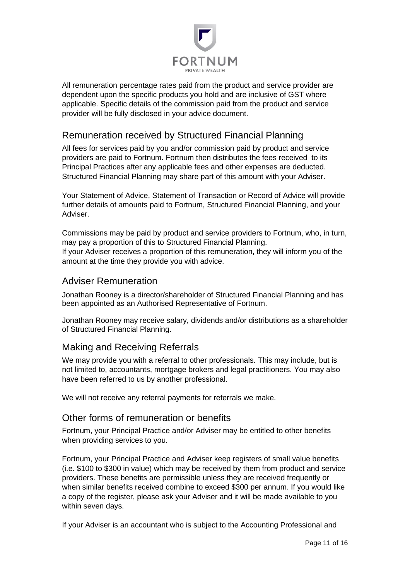

All remuneration percentage rates paid from the product and service provider are dependent upon the specific products you hold and are inclusive of GST where applicable. Specific details of the commission paid from the product and service provider will be fully disclosed in your advice document.

## <span id="page-10-0"></span>Remuneration received by Structured Financial Planning

All fees for services paid by you and/or commission paid by product and service providers are paid to Fortnum. Fortnum then distributes the fees received to its Principal Practices after any applicable fees and other expenses are deducted. Structured Financial Planning may share part of this amount with your Adviser.

Your Statement of Advice, Statement of Transaction or Record of Advice will provide further details of amounts paid to Fortnum, Structured Financial Planning, and your Adviser.

Commissions may be paid by product and service providers to Fortnum, who, in turn, may pay a proportion of this to Structured Financial Planning. If your Adviser receives a proportion of this remuneration, they will inform you of the amount at the time they provide you with advice.

## <span id="page-10-1"></span>Adviser Remuneration

Jonathan Rooney is a director/shareholder of Structured Financial Planning and has been appointed as an Authorised Representative of Fortnum.

Jonathan Rooney may receive salary, dividends and/or distributions as a shareholder of Structured Financial Planning.

## <span id="page-10-2"></span>Making and Receiving Referrals

We may provide you with a referral to other professionals. This may include, but is not limited to, accountants, mortgage brokers and legal practitioners. You may also have been referred to us by another professional.

We will not receive any referral payments for referrals we make.

## <span id="page-10-3"></span>Other forms of remuneration or benefits

Fortnum, your Principal Practice and/or Adviser may be entitled to other benefits when providing services to you.

Fortnum, your Principal Practice and Adviser keep registers of small value benefits (i.e. \$100 to \$300 in value) which may be received by them from product and service providers. These benefits are permissible unless they are received frequently or when similar benefits received combine to exceed \$300 per annum. If you would like a copy of the register, please ask your Adviser and it will be made available to you within seven days.

If your Adviser is an accountant who is subject to the Accounting Professional and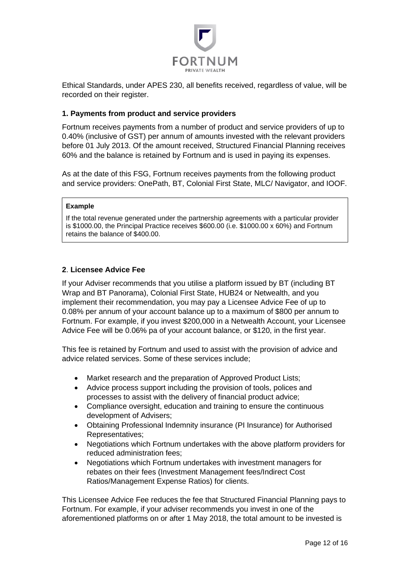

Ethical Standards, under APES 230, all benefits received, regardless of value, will be recorded on their register.

#### <span id="page-11-0"></span>**1. Payments from product and service providers**

Fortnum receives payments from a number of product and service providers of up to 0.40% (inclusive of GST) per annum of amounts invested with the relevant providers before 01 July 2013. Of the amount received, Structured Financial Planning receives 60% and the balance is retained by Fortnum and is used in paying its expenses.

As at the date of this FSG, Fortnum receives payments from the following product and service providers: OnePath, BT, Colonial First State, MLC/ Navigator, and IOOF.

#### **Example**

If the total revenue generated under the partnership agreements with a particular provider is \$1000.00, the Principal Practice receives \$600.00 (i.e. \$1000.00 x 60%) and Fortnum retains the balance of \$400.00.

#### <span id="page-11-1"></span>**2**. **Licensee Advice Fee**

If your Adviser recommends that you utilise a platform issued by BT (including BT Wrap and BT Panorama), Colonial First State, HUB24 or Netwealth, and you implement their recommendation, you may pay a Licensee Advice Fee of up to 0.08% per annum of your account balance up to a maximum of \$800 per annum to Fortnum. For example, if you invest \$200,000 in a Netwealth Account, your Licensee Advice Fee will be 0.06% pa of your account balance, or \$120, in the first year.

This fee is retained by Fortnum and used to assist with the provision of advice and advice related services. Some of these services include;

- Market research and the preparation of Approved Product Lists;
- Advice process support including the provision of tools, polices and processes to assist with the delivery of financial product advice;
- Compliance oversight, education and training to ensure the continuous development of Advisers;
- Obtaining Professional Indemnity insurance (PI Insurance) for Authorised Representatives;
- Negotiations which Fortnum undertakes with the above platform providers for reduced administration fees;
- Negotiations which Fortnum undertakes with investment managers for rebates on their fees (Investment Management fees/Indirect Cost Ratios/Management Expense Ratios) for clients.

This Licensee Advice Fee reduces the fee that Structured Financial Planning pays to Fortnum. For example, if your adviser recommends you invest in one of the aforementioned platforms on or after 1 May 2018, the total amount to be invested is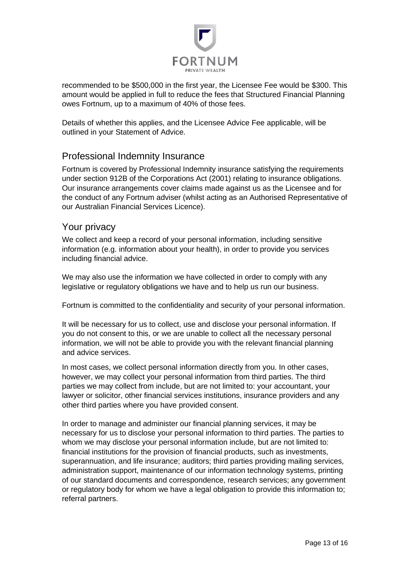

recommended to be \$500,000 in the first year, the Licensee Fee would be \$300. This amount would be applied in full to reduce the fees that Structured Financial Planning owes Fortnum, up to a maximum of 40% of those fees.

Details of whether this applies, and the Licensee Advice Fee applicable, will be outlined in your Statement of Advice.

## <span id="page-12-0"></span>Professional Indemnity Insurance

Fortnum is covered by Professional Indemnity insurance satisfying the requirements under section 912B of the Corporations Act (2001) relating to insurance obligations. Our insurance arrangements cover claims made against us as the Licensee and for the conduct of any Fortnum adviser (whilst acting as an Authorised Representative of our Australian Financial Services Licence).

#### <span id="page-12-1"></span>Your privacy

We collect and keep a record of your personal information, including sensitive information (e.g. information about your health), in order to provide you services including financial advice.

We may also use the information we have collected in order to comply with any legislative or regulatory obligations we have and to help us run our business.

Fortnum is committed to the confidentiality and security of your personal information.

It will be necessary for us to collect, use and disclose your personal information. If you do not consent to this, or we are unable to collect all the necessary personal information, we will not be able to provide you with the relevant financial planning and advice services.

In most cases, we collect personal information directly from you. In other cases, however, we may collect your personal information from third parties. The third parties we may collect from include, but are not limited to: your accountant, your lawyer or solicitor, other financial services institutions, insurance providers and any other third parties where you have provided consent.

In order to manage and administer our financial planning services, it may be necessary for us to disclose your personal information to third parties. The parties to whom we may disclose your personal information include, but are not limited to: financial institutions for the provision of financial products, such as investments, superannuation, and life insurance; auditors; third parties providing mailing services, administration support, maintenance of our information technology systems, printing of our standard documents and correspondence, research services; any government or regulatory body for whom we have a legal obligation to provide this information to; referral partners.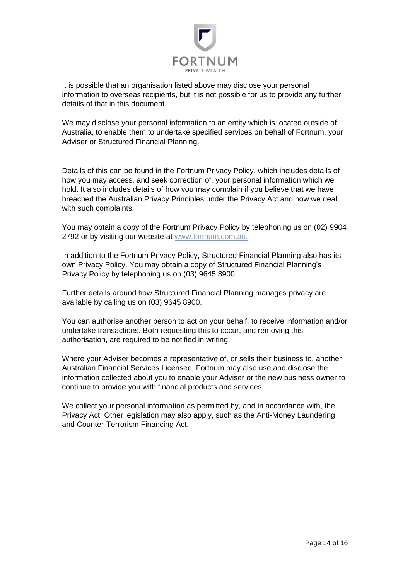

It is possible that an organisation listed above may disclose your personal information to overseas recipients, but it is not possible for us to provide any further details of that in this document.

We may disclose your personal information to an entity which is located outside of Australia, to enable them to undertake specified services on behalf of Fortnum, your Adviser or Structured Financial Planning.

Details of this can be found in the Fortnum Privacy Policy, which includes details of how you may access, and seek correction of, your personal information which we hold. It also includes details of how you may complain if you believe that we have breached the Australian Privacy Principles under the Privacy Act and how we deal with such complaints.

You may obtain a copy of the Fortnum Privacy Policy by telephoning us on (02) 9904 2792 or by visiting our website at [www.fortnum.com.au.](http://www.fortnum.com.au/)

In addition to the Fortnum Privacy Policy, Structured Financial Planning also has its own Privacy Policy. You may obtain a copy of Structured Financial Planning's Privacy Policy by telephoning us on (03) 9645 8900.

Further details around how Structured Financial Planning manages privacy are available by calling us on (03) 9645 8900.

You can authorise another person to act on your behalf, to receive information and/or undertake transactions. Both requesting this to occur, and removing this authorisation, are required to be notified in writing.

Where your Adviser becomes a representative of, or sells their business to, another Australian Financial Services Licensee, Fortnum may also use and disclose the information collected about you to enable your Adviser or the new business owner to continue to provide you with financial products and services.

<span id="page-13-0"></span>We collect your personal information as permitted by, and in accordance with, the Privacy Act. Other legislation may also apply, such as the Anti-Money Laundering and Counter-Terrorism Financing Act.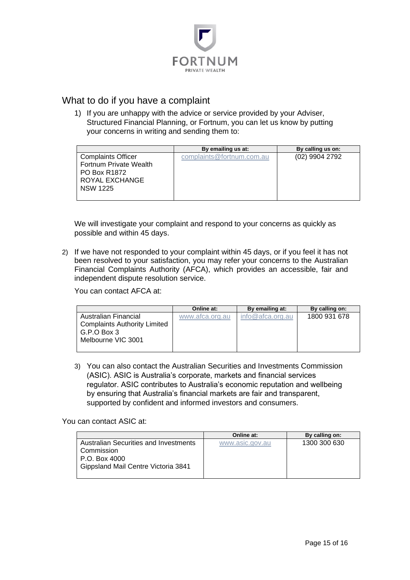

## What to do if you have a complaint

1) If you are unhappy with the advice or service provided by your Adviser, Structured Financial Planning, or Fortnum, you can let us know by putting your concerns in writing and sending them to:

|                           | By emailing us at:        | By calling us on: |
|---------------------------|---------------------------|-------------------|
| <b>Complaints Officer</b> | complaints@fortnum.com.au | (02) 9904 2792    |
| Fortnum Private Wealth    |                           |                   |
| <b>PO Box R1872</b>       |                           |                   |
| ROYAL EXCHANGE            |                           |                   |
| <b>NSW 1225</b>           |                           |                   |
|                           |                           |                   |

We will investigate your complaint and respond to your concerns as quickly as possible and within 45 days.

2) If we have not responded to your complaint within 45 days, or if you feel it has not been resolved to your satisfaction, you may refer your concerns to the Australian Financial Complaints Authority (AFCA), which provides an accessible, fair and independent dispute resolution service.

You can contact AFCA at:

|                                     | Online at:      | By emailing at:     | By calling on: |
|-------------------------------------|-----------------|---------------------|----------------|
| Australian Financial                | www.afca.org.au | $info@$ afca.org.au | 1800 931 678   |
| <b>Complaints Authority Limited</b> |                 |                     |                |
| G.P.O Box 3                         |                 |                     |                |
| Melbourne VIC 3001                  |                 |                     |                |
|                                     |                 |                     |                |

3) You can also contact the Australian Securities and Investments Commission (ASIC). ASIC is Australia's corporate, markets and financial services regulator. ASIC contributes to Australia's economic reputation and wellbeing by ensuring that Australia's financial markets are fair and transparent, supported by confident and informed investors and consumers.

You can contact ASIC at:

|                                              | Online at:      | By calling on: |
|----------------------------------------------|-----------------|----------------|
| <b>Australian Securities and Investments</b> | www.asic.gov.au | 1300 300 630   |
| l Commission                                 |                 |                |
| l P.O. Box 4000                              |                 |                |
| Gippsland Mail Centre Victoria 3841          |                 |                |
|                                              |                 |                |